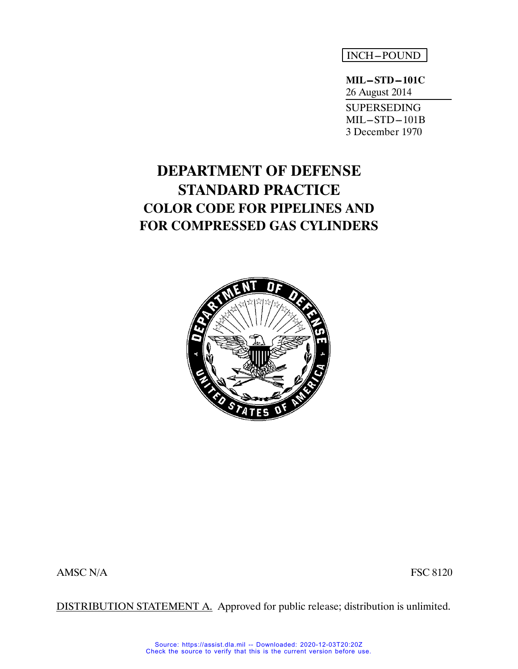# INCH-POUND

**MIL-STD-101C** 26 August 2014 SUPERSEDING  $MIL-STD-101B$ 3 December 1970

# **DEPARTMENT OF DEFENSE STANDARD PRACTICE COLOR CODE FOR PIPELINES AND FOR COMPRESSED GAS CYLINDERS**



AMSC N/A FSC 8120

DISTRIBUTION STATEMENT A. Approved for public release; distribution is unlimited.

Source: https://assist.dla.mil -- Downloaded: 2020-12-03T20:20Z Check the source to verify that this is the current version before use.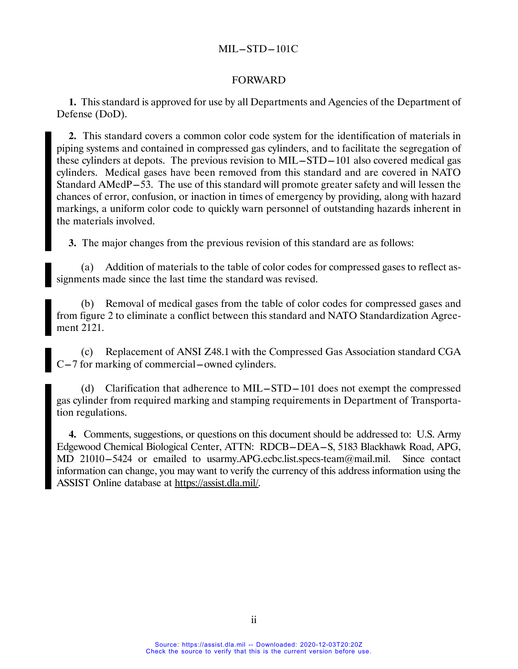#### FORWARD

**1.** This standard is approved for use by all Departments and Agencies of the Department of Defense (DoD).

**2.** This standard covers a common color code system for the identification of materials in piping systems and contained in compressed gas cylinders, and to facilitate the segregation of these cylinders at depots. The previous revision to  $MIL-STD-101$  also covered medical gas cylinders. Medical gases have been removed from this standard and are covered in NATO Standard AMedP-53. The use of this standard will promote greater safety and will lessen the chances of error, confusion, or inaction in times of emergency by providing, along with hazard markings, a uniform color code to quickly warn personnel of outstanding hazards inherent in the materials involved.

**3.** The major changes from the previous revision of this standard are as follows:

(a) Addition of materials to the table of color codes for compressed gases to reflect assignments made since the last time the standard was revised.

(b) Removal of medical gases from the table of color codes for compressed gases and from figure 2 to eliminate a conflict between this standard and NATO Standardization Agreement 2121.

(c) Replacement of ANSI Z48.1 with the Compressed Gas Association standard CGA  $C-7$  for marking of commercial --owned cylinders.

(d) Clarification that adherence to MIL $-STD-101$  does not exempt the compressed gas cylinder from required marking and stamping requirements in Department of Transportation regulations.

**4.** Comments, suggestions, or questions on this document should be addressed to: U.S. Army Edgewood Chemical Biological Center, ATTN: RDCB-DEA-S, 5183 Blackhawk Road, APG, MD 21010-5424 or emailed to usarmy.APG.ecbc.list.specs-team@mail.mil. Since contact information can change, you may want to verify the currency of this address information using the ASSIST Online database at https://assist.dla.mil/.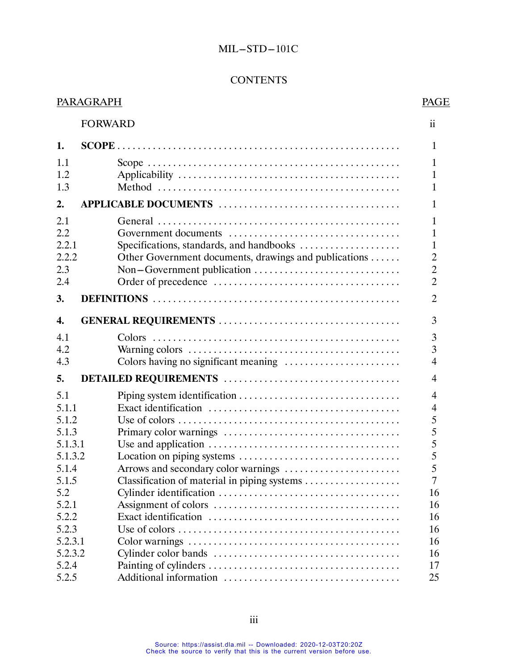# **CONTENTS**

|            | <b>PARAGRAPH</b> |                                                       | PAGE                         |
|------------|------------------|-------------------------------------------------------|------------------------------|
|            | <b>FORWARD</b>   |                                                       | $\mathbf{ii}$                |
| 1.         |                  |                                                       | $\mathbf{1}$                 |
| 1.1        |                  |                                                       | $\mathbf{1}$                 |
| 1.2<br>1.3 |                  |                                                       | $\mathbf{1}$<br>$\mathbf{1}$ |
| 2.         |                  |                                                       | 1                            |
| 2.1        |                  |                                                       | $\mathbf{1}$                 |
| 2.2        |                  |                                                       | 1                            |
| 2.2.1      |                  | Specifications, standards, and handbooks              | $\mathbf{1}$                 |
| 2.2.2      |                  | Other Government documents, drawings and publications | $\overline{2}$               |
| 2.3        |                  |                                                       | $\overline{2}$               |
| 2.4        |                  |                                                       | $\overline{2}$               |
| 3.         |                  |                                                       | $\overline{2}$               |
|            |                  |                                                       |                              |
| 4.         |                  |                                                       | 3                            |
| 4.1        |                  |                                                       | 3                            |
| 4.2        |                  |                                                       | $\overline{3}$               |
| 4.3        |                  |                                                       | $\overline{4}$               |
| 5.         |                  |                                                       | $\overline{4}$               |
| 5.1        |                  |                                                       | $\overline{4}$               |
| 5.1.1      |                  |                                                       | $\overline{4}$               |
| 5.1.2      |                  |                                                       | 5                            |
| 5.1.3      |                  |                                                       | 5                            |
| 5.1.3.1    |                  |                                                       | 5                            |
| 5.1.3.2    |                  |                                                       | 5                            |
| 5.1.4      |                  |                                                       | 5                            |
| 5.1.5      |                  | Classification of material in piping systems          | 7                            |
| 5.2        |                  |                                                       | 16                           |
| 5.2.1      |                  |                                                       | 16                           |
| 5.2.2      |                  |                                                       | 16                           |
| 5.2.3      |                  |                                                       | 16                           |
| 5.2.3.1    |                  |                                                       | 16                           |
| 5.2.3.2    |                  |                                                       | 16                           |
| 5.2.4      |                  |                                                       | 17                           |
| 5.2.5      |                  |                                                       | 25                           |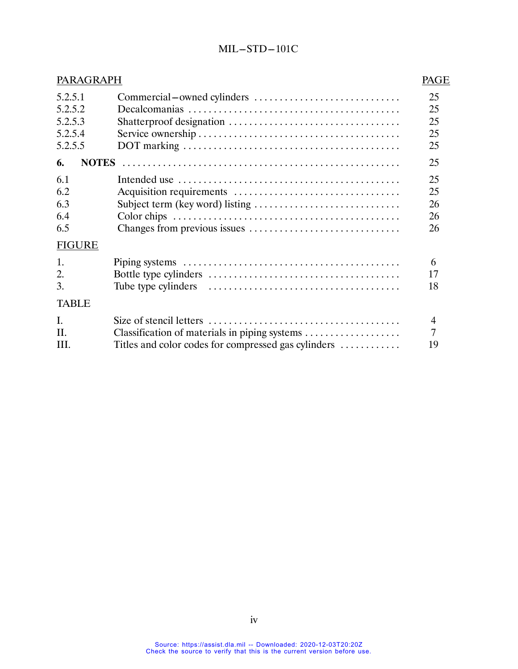| PARAGRAPH                                           |                                                                                                      | PAGE                       |
|-----------------------------------------------------|------------------------------------------------------------------------------------------------------|----------------------------|
| 5.2.5.1<br>5.2.5.2<br>5.2.5.3<br>5.2.5.4<br>5.2.5.5 | Commercial-owned cylinders                                                                           | 25<br>25<br>25<br>25<br>25 |
| 6.                                                  |                                                                                                      | 25                         |
| 6.1<br>6.2<br>6.3<br>6.4<br>6.5<br><b>FIGURE</b>    |                                                                                                      | 25<br>25<br>26<br>26<br>26 |
| 1.<br>2.<br>3.                                      |                                                                                                      | 6<br>17<br>18              |
| <b>TABLE</b>                                        |                                                                                                      |                            |
| $\mathbf{I}$ .<br>II.<br>III.                       | Classification of materials in piping systems<br>Titles and color codes for compressed gas cylinders | $\overline{4}$<br>7<br>19  |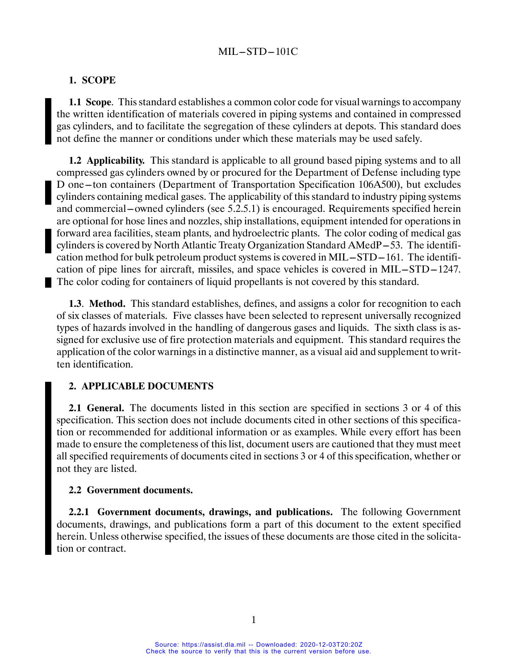#### **1. SCOPE**

**1.1 Scope**. This standard establishes a common color code for visual warnings to accompany the written identification of materials covered in piping systems and contained in compressed gas cylinders, and to facilitate the segregation of these cylinders at depots. This standard does not define the manner or conditions under which these materials may be used safely.

**1.2 Applicability.** This standard is applicable to all ground based piping systems and to all compressed gas cylinders owned by or procured for the Department of Defense including type D one–ton containers (Department of Transportation Specification 106A500), but excludes cylinders containing medical gases. The applicability of this standard to industry piping systems and commercial—owned cylinders (see 5.2.5.1) is encouraged. Requirements specified herein are optional for hose lines and nozzles, ship installations, equipment intended for operations in forward area facilities, steam plants, and hydroelectric plants. The color coding of medical gas cylinders is covered by North Atlantic Treaty Organization Standard AMedP-53. The identification method for bulk petroleum product systems is covered in MIL $-STD-161$ . The identification of pipe lines for aircraft, missiles, and space vehicles is covered in MIL-STD-1247. The color coding for containers of liquid propellants is not covered by this standard.

**1.3**. **Method.** This standard establishes, defines, and assigns a color for recognition to each of six classes of materials. Five classes have been selected to represent universally recognized types of hazards involved in the handling of dangerous gases and liquids. The sixth class is assigned for exclusive use of fire protection materials and equipment. This standard requires the application of the color warnings in a distinctive manner, as a visual aid and supplement to written identification.

#### **2. APPLICABLE DOCUMENTS**

**2.1 General.** The documents listed in this section are specified in sections 3 or 4 of this specification. This section does not include documents cited in other sections of this specification or recommended for additional information or as examples. While every effort has been made to ensure the completeness of this list, document users are cautioned that they must meet all specified requirements of documents cited in sections 3 or 4 of this specification, whether or not they are listed.

#### **2.2 Government documents.**

**2.2.1 Government documents, drawings, and publications.** The following Government documents, drawings, and publications form a part of this document to the extent specified herein. Unless otherwise specified, the issues of these documents are those cited in the solicitation or contract.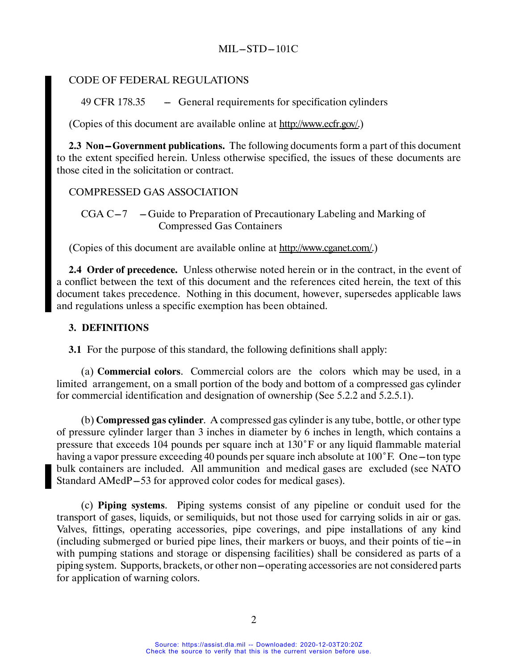### CODE OF FEDERAL REGULATIONS

 $49$  CFR 178.35  $-$  General requirements for specification cylinders

(Copies of this document are available online at http://www.ecfr.gov/.)

**2.3 Non-Government publications.** The following documents form a part of this document to the extent specified herein. Unless otherwise specified, the issues of these documents are those cited in the solicitation or contract.

### COMPRESSED GAS ASSOCIATION

 $CGA C-7$  -Guide to Preparation of Precautionary Labeling and Marking of Compressed Gas Containers

(Copies of this document are available online at http://www.cganet.com/.)

**2.4 Order of precedence.** Unless otherwise noted herein or in the contract, in the event of a conflict between the text of this document and the references cited herein, the text of this document takes precedence. Nothing in this document, however, supersedes applicable laws and regulations unless a specific exemption has been obtained.

### **3. DEFINITIONS**

**3.1** For the purpose of this standard, the following definitions shall apply:

(a) **Commercial colors**. Commercial colors are the colors which may be used, in a limited arrangement, on a small portion of the body and bottom of a compressed gas cylinder for commercial identification and designation of ownership (See 5.2.2 and 5.2.5.1).

(b) **Compressed gas cylinder**. A compressed gas cylinder is any tube, bottle, or other type of pressure cylinder larger than 3 inches in diameter by 6 inches in length, which contains a pressure that exceeds 104 pounds per square inch at 130˚F or any liquid flammable material having a vapor pressure exceeding 40 pounds per square inch absolute at  $100^{\circ}$  F. One --ton type bulk containers are included. All ammunition and medical gases are excluded (see NATO Standard AMedP-53 for approved color codes for medical gases).

(c) **Piping systems**. Piping systems consist of any pipeline or conduit used for the transport of gases, liquids, or semiliquids, but not those used for carrying solids in air or gas. Valves, fittings, operating accessories, pipe coverings, and pipe installations of any kind  $(including submerged or buried pipe lines, their markers or buoys, and their points of tie-in$ with pumping stations and storage or dispensing facilities) shall be considered as parts of a piping system. Supports, brackets, or other non-operating accessories are not considered parts for application of warning colors.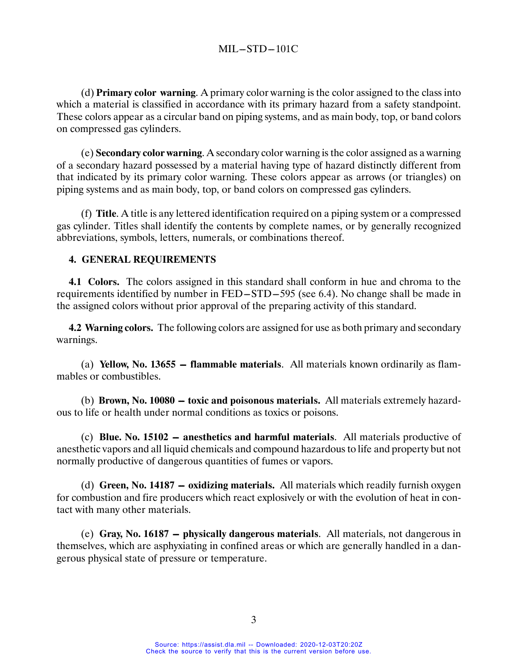(d) **Primary color warning**. A primary color warning is the color assigned to the class into which a material is classified in accordance with its primary hazard from a safety standpoint. These colors appear as a circular band on piping systems, and as main body, top, or band colors on compressed gas cylinders.

(e) **Secondary color warning**. A secondary color warning is the color assigned as a warning of a secondary hazard possessed by a material having type of hazard distinctly different from that indicated by its primary color warning. These colors appear as arrows (or triangles) on piping systems and as main body, top, or band colors on compressed gas cylinders.

(f) **Title**. A title is any lettered identification required on a piping system or a compressed gas cylinder. Titles shall identify the contents by complete names, or by generally recognized abbreviations, symbols, letters, numerals, or combinations thereof.

### **4. GENERAL REQUIREMENTS**

**4.1 Colors.** The colors assigned in this standard shall conform in hue and chroma to the requirements identified by number in FED-STD-595 (see 6.4). No change shall be made in the assigned colors without prior approval of the preparing activity of this standard.

**4.2 Warning colors.** The following colors are assigned for use as both primary and secondary warnings.

(a) **Yellow, No. 13655 -- flammable materials**. All materials known ordinarily as flammables or combustibles.

(b) **Brown, No. 10080 – toxic and poisonous materials.** All materials extremely hazardous to life or health under normal conditions as toxics or poisons.

(c) **Blue. No. 15102 – anesthetics and harmful materials**. All materials productive of anesthetic vapors and all liquid chemicals and compound hazardous to life and property but not normally productive of dangerous quantities of fumes or vapors.

(d) Green, No. 14187 - oxidizing materials. All materials which readily furnish oxygen for combustion and fire producers which react explosively or with the evolution of heat in contact with many other materials.

(e) Gray, No. 16187 - physically dangerous materials. All materials, not dangerous in themselves, which are asphyxiating in confined areas or which are generally handled in a dangerous physical state of pressure or temperature.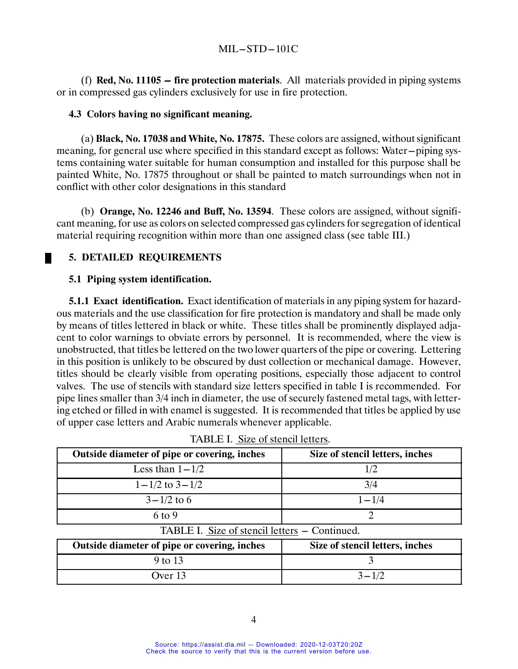(f) **Red, No. 11105 – fire protection materials**. All materials provided in piping systems or in compressed gas cylinders exclusively for use in fire protection.

#### **4.3 Colors having no significant meaning.**

(a) **Black, No. 17038 and White, No. 17875.** These colors are assigned, without significant meaning, for general use where specified in this standard except as follows: Water---piping sys-tems containing water suitable for human consumption and installed for this purpose shall be painted White, No. 17875 throughout or shall be painted to match surroundings when not in conflict with other color designations in this standard

(b) **Orange, No. 12246 and Buff, No. 13594**. These colors are assigned, without significant meaning, for use as colors on selected compressed gas cylinders for segregation of identical material requiring recognition within more than one assigned class (see table III.)

## **5. DETAILED REQUIREMENTS**

#### **5.1 Piping system identification.**

**5.1.1 Exact identification.** Exact identification of materials in any piping system for hazardous materials and the use classification for fire protection is mandatory and shall be made only by means of titles lettered in black or white. These titles shall be prominently displayed adjacent to color warnings to obviate errors by personnel. It is recommended, where the view is unobstructed, that titles be lettered on the two lower quarters of the pipe or covering. Lettering in this position is unlikely to be obscured by dust collection or mechanical damage. However, titles should be clearly visible from operating positions, especially those adjacent to control valves. The use of stencils with standard size letters specified in table I is recommended. For pipe lines smaller than 3/4 inch in diameter, the use of securely fastened metal tags, with lettering etched or filled in with enamel is suggested. It is recommended that titles be applied by use of upper case letters and Arabic numerals whenever applicable.

| Outside diameter of pipe or covering, inches  | Size of stencil letters, inches |
|-----------------------------------------------|---------------------------------|
| Less than $1 - 1/2$                           | 1/2                             |
| $1 - 1/2$ to $3 - 1/2$                        | 3/4                             |
| $3 - 1/2$ to 6                                | $1 - 1/4$                       |
| $6$ to 9                                      | $\mathcal{D}_{\mathcal{L}}$     |
| TABLE I. Size of stencil letters – Continued. |                                 |
| Outside diameter of pipe or covering, inches  | Size of stencil letters, inches |
| 9 to 13                                       | 3                               |
| Over 13                                       | $3 - 1/2$                       |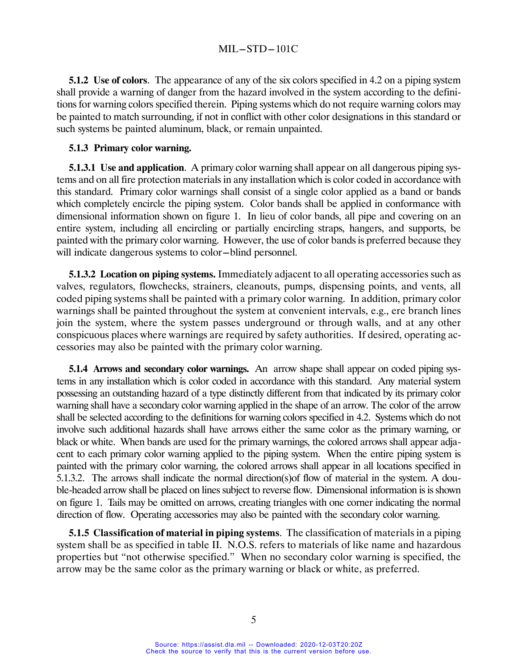**5.1.2** Use of colors. The appearance of any of the six colors specified in 4.2 on a piping system shall provide a warning of danger from the hazard involved in the system according to the definitions for warning colors specified therein. Piping systems which do not require warning colors may be painted to match surrounding, if not in conflict with other color designations in this standard or such systems be painted aluminum, black, or remain unpainted.

#### **5.1.3 Primary color warning.**

**5.1.3.1 Use and application.** A primary color warning shall appear on all dangerous piping systems and on all fire protection materials in any installation which is color coded in accordance with this standard. Primary color warnings shall consist of a single color applied as a band or bands which completely encircle the piping system. Color bands shall be applied in conformance with dimensional information shown on figure 1. In lieu of color bands, all pipe and covering on an entire system, including all encircling or partially encircling straps, hangers, and supports, be painted with the primary color warning. However, the use of color bands is preferred because they will indicate dangerous systems to color-blind personnel.

**5.1.3.2 Location on piping systems.** Immediately adjacent to all operating accessories such as valves, regulators, flowchecks, strainers, cleanouts, pumps, dispensing points, and vents, all coded piping systems shall be painted with a primary color warning. In addition, primary color warnings shall be painted throughout the system at convenient intervals, e.g., ere branch lines join the system, where the system passes underground or through walls, and at any other conspicuous places where warnings are required by safety authorities. If desired, operating accessories may also be painted with the primary color warning.

**5.1.4 Arrows and secondary color warnings.** An arrow shape shall appear on coded piping systems in any installation which is color coded in accordance with this standard. Any material system possessing an outstanding hazard of a type distinctly different from that indicated by its primary color warning shall have a secondary color warning applied in the shape of an arrow. The color of the arrow shall be selected according to the definitions for warning colors specified in 4.2. Systems which do not involve such additional hazards shall have arrows either the same color as the primary warning, or black or white. When bands are used for the primary warnings, the colored arrows shall appear adjacent to each primary color warning applied to the piping system. When the entire piping system is painted with the primary color warning, the colored arrows shall appear in all locations specified in 5.1.3.2. The arrows shall indicate the normal direction(s)of flow of material in the system. A double-headed arrow shall be placed on lines subject to reverse flow. Dimensional information is is shown on figure 1. Tails may be omitted on arrows, creating triangles with one corner indicating the normal direction of flow. Operating accessories may also be painted with the secondary color warning.

**5.1.5 Classification of material in piping systems**. The classification of materials in a piping system shall be as specified in table II. N.O.S. refers to materials of like name and hazardous properties but "not otherwise specified." When no secondary color warning is specified, the arrow may be the same color as the primary warning or black or white, as preferred.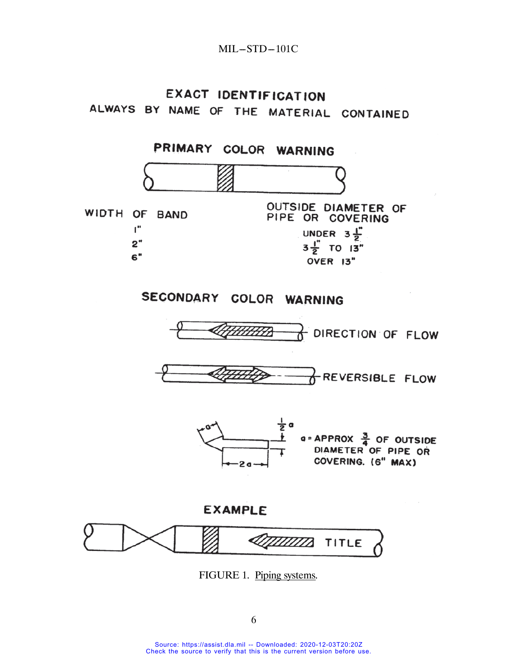# **EXACT IDENTIFICATION** ALWAYS BY NAME OF THE MATERIAL CONTAINED



FIGURE 1. Piping systems.

6

Source: https://assist.dla.mil -- Downloaded: 2020-12-03T20:20Z Check the source to verify that this is the current version before use.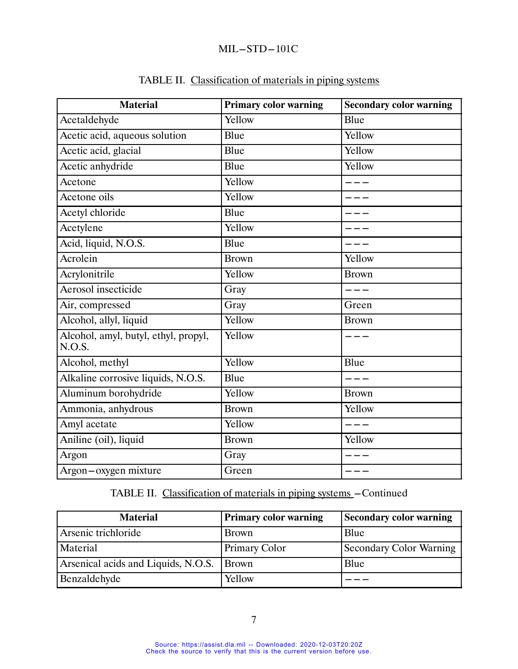| <b>Material</b>                                | <b>Primary color warning</b> | <b>Secondary color warning</b> |
|------------------------------------------------|------------------------------|--------------------------------|
| Acetaldehyde                                   | Yellow                       | Blue                           |
| Acetic acid, aqueous solution                  | Blue                         | Yellow                         |
| Acetic acid, glacial                           | Blue                         | Yellow                         |
| Acetic anhydride                               | Blue                         | Yellow                         |
| $\overline{A}$ cetone                          | Yellow                       |                                |
| Acetone oils                                   | Yellow                       |                                |
| Acetyl chloride                                | Blue                         |                                |
| Acetylene                                      | Yellow                       |                                |
| Acid, liquid, N.O.S.                           | Blue                         |                                |
| Acrolein                                       | <b>Brown</b>                 | Yellow                         |
| Acrylonitrile                                  | Yellow                       | <b>Brown</b>                   |
| Aerosol insecticide                            | Gray                         |                                |
| Air, compressed                                | Gray                         | Green                          |
| Alcohol, allyl, liquid                         | Yellow                       | <b>Brown</b>                   |
| Alcohol, amyl, butyl, ethyl, propyl,<br>N.O.S. | Yellow                       |                                |
| Alcohol, methyl                                | Yellow                       | Blue                           |
| Alkaline corrosive liquids, N.O.S.             | Blue                         | ___                            |
| Aluminum borohydride                           | Yellow                       | <b>Brown</b>                   |
| Ammonia, anhydrous                             | <b>Brown</b>                 | Yellow                         |
| Amyl acetate                                   | Yellow                       | $  -$                          |
| Aniline (oil), liquid                          | <b>Brown</b>                 | Yellow                         |
| Argon                                          | Gray                         |                                |
| Argon-oxygen mixture                           | Green                        | ---                            |

# TABLE II. Classification of materials in piping systems

| <b>Material</b>                           | <b>Primary color warning</b> | <b>Secondary color warning</b> |
|-------------------------------------------|------------------------------|--------------------------------|
| Arsenic trichloride                       | <b>Brown</b>                 | Blue                           |
| Material                                  | <b>Primary Color</b>         | <b>Secondary Color Warning</b> |
| Arsenical acids and Liquids, N.O.S. Brown |                              | Blue                           |
| Benzaldehyde                              | Yellow                       |                                |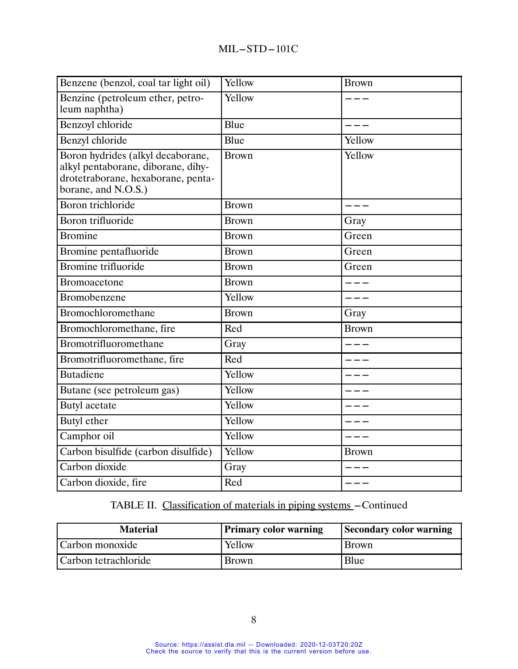| Benzene (benzol, coal tar light oil)                                                                                                 | Yellow       | <b>Brown</b> |
|--------------------------------------------------------------------------------------------------------------------------------------|--------------|--------------|
| Benzine (petroleum ether, petro-<br>leum naphtha)                                                                                    | Yellow       |              |
| Benzoyl chloride                                                                                                                     | Blue         |              |
| Benzyl chloride                                                                                                                      | Blue         | Yellow       |
| Boron hydrides (alkyl decaborane,<br>alkyl pentaborane, diborane, dihy-<br>drotetraborane, hexaborane, penta-<br>borane, and N.O.S.) | <b>Brown</b> | Yellow       |
| Boron trichloride                                                                                                                    | <b>Brown</b> |              |
| Boron trifluoride                                                                                                                    | <b>Brown</b> | Gray         |
| <b>Bromine</b>                                                                                                                       | <b>Brown</b> | Green        |
| Bromine pentafluoride                                                                                                                | <b>Brown</b> | Green        |
| Bromine trifluoride                                                                                                                  | <b>Brown</b> | Green        |
| Bromoacetone                                                                                                                         | <b>Brown</b> |              |
| Bromobenzene                                                                                                                         | Yellow       |              |
| Bromochloromethane                                                                                                                   | <b>Brown</b> | Gray         |
| Bromochloromethane, fire                                                                                                             | Red          | <b>Brown</b> |
| Bromotrifluoromethane                                                                                                                | Gray         | ----         |
| Bromotrifluoromethane, fire                                                                                                          | Red          |              |
| Butadiene                                                                                                                            | Yellow       |              |
| Butane (see petroleum gas)                                                                                                           | Yellow       |              |
| Butyl acetate                                                                                                                        | Yellow       |              |
| Butyl ether                                                                                                                          | Yellow       |              |
| Camphor oil                                                                                                                          | Yellow       |              |
| Carbon bisulfide (carbon disulfide)                                                                                                  | Yellow       | <b>Brown</b> |
| Carbon dioxide                                                                                                                       | Gray         |              |
| Carbon dioxide, fire                                                                                                                 | Red          |              |

| <b>Material</b>      | <b>Primary color warning</b> | Secondary color warning |
|----------------------|------------------------------|-------------------------|
| Carbon monoxide      | Yellow                       | <b>Brown</b>            |
| Carbon tetrachloride | <b>Brown</b>                 | Blue                    |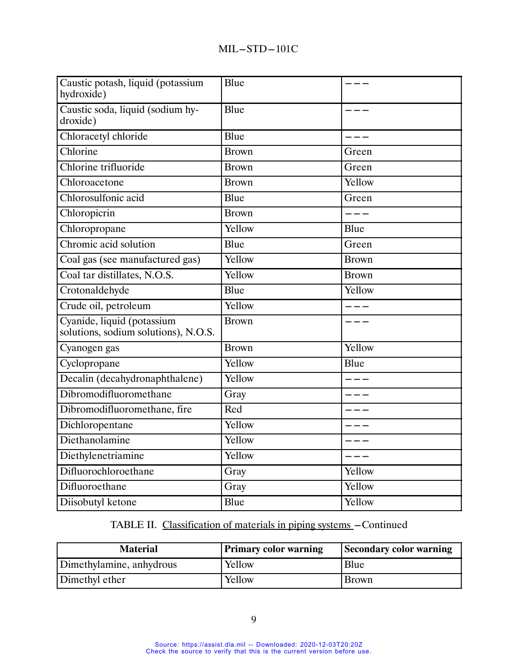| Caustic potash, liquid (potassium<br>hydroxide)                    | Blue         |              |
|--------------------------------------------------------------------|--------------|--------------|
| Caustic soda, liquid (sodium hy-<br>droxide)                       | Blue         |              |
| Chloracetyl chloride                                               | Blue         | $- - -$      |
| Chlorine                                                           | <b>Brown</b> | Green        |
| Chlorine trifluoride                                               | <b>Brown</b> | Green        |
| Chloroacetone                                                      | <b>Brown</b> | Yellow       |
| Chlorosulfonic acid                                                | Blue         | Green        |
| Chloropicrin                                                       | <b>Brown</b> | $- -$        |
| Chloropropane                                                      | Yellow       | Blue         |
| Chromic acid solution                                              | Blue         | Green        |
| Coal gas (see manufactured gas)                                    | Yellow       | <b>Brown</b> |
| Coal tar distillates, N.O.S.                                       | Yellow       | <b>Brown</b> |
| Crotonaldehyde                                                     | Blue         | Yellow       |
| Crude oil, petroleum                                               | Yellow       | $  -$        |
| Cyanide, liquid (potassium<br>solutions, sodium solutions), N.O.S. | <b>Brown</b> |              |
| Cyanogen gas                                                       | <b>Brown</b> | Yellow       |
| Cyclopropane                                                       | Yellow       | Blue         |
| Decalin (decahydronaphthalene)                                     | Yellow       | $=$ $ -$     |
| Dibromodifluoromethane                                             | Gray         |              |
| Dibromodifluoromethane, fire                                       | Red          |              |
| Dichloropentane                                                    | Yellow       |              |
| Diethanolamine                                                     | Yellow       |              |
| Diethylenetriamine                                                 | Yellow       |              |
| Difluorochloroethane                                               | Gray         | Yellow       |
| Difluoroethane                                                     | Gray         | Yellow       |
| Diisobutyl ketone                                                  | Blue         | Yellow       |

| <b>Material</b>          | <b>Primary color warning</b> | <b>Secondary color warning</b> |
|--------------------------|------------------------------|--------------------------------|
| Dimethylamine, anhydrous | Yellow                       | Blue                           |
| Dimethyl ether           | Yellow                       | <b>Brown</b>                   |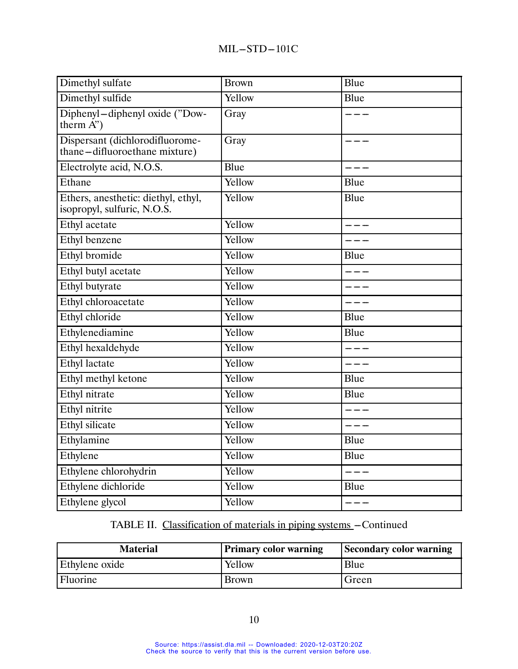| Dimethyl sulfate                                                   | <b>Brown</b> | Blue    |
|--------------------------------------------------------------------|--------------|---------|
| Dimethyl sulfide                                                   | Yellow       | Blue    |
| Diphenyl-diphenyl oxide ("Dow-<br>therm $A$ ")                     | Gray         |         |
| Dispersant (dichlorodifluorome-<br>thane-difluoroethane mixture)   | Gray         |         |
| Electrolyte acid, N.O.S.                                           | Blue         |         |
| Ethane                                                             | Yellow       | Blue    |
| Ethers, anesthetic: diethyl, ethyl,<br>isopropyl, sulfuric, N.O.S. | Yellow       | Blue    |
| <b>Ethyl</b> acetate                                               | Yellow       |         |
| Ethyl benzene                                                      | Yellow       |         |
| Ethyl bromide                                                      | Yellow       | Blue    |
| Ethyl butyl acetate                                                | Yellow       | $- - -$ |
| Ethyl butyrate                                                     | Yellow       | ----    |
| Ethyl chloroacetate                                                | Yellow       |         |
| Ethyl chloride                                                     | Yellow       | Blue    |
| Ethylenediamine                                                    | Yellow       | Blue    |
| Ethyl hexaldehyde                                                  | Yellow       |         |
| <b>Ethyl</b> lactate                                               | Yellow       | $- - -$ |
| Ethyl methyl ketone                                                | Yellow       | Blue    |
| Ethyl nitrate                                                      | Yellow       | Blue    |
| Ethyl nitrite                                                      | Yellow       | $- - -$ |
| <b>Ethyl</b> silicate                                              | Yellow       |         |
| Ethylamine                                                         | Yellow       | Blue    |
| Ethylene                                                           | Yellow       | Blue    |
| Ethylene chlorohydrin                                              | Yellow       |         |
| Ethylene dichloride                                                | Yellow       | Blue    |
| Ethylene glycol                                                    | Yellow       | $- - -$ |

| <b>Material</b> | <b>Primary color warning</b> | <b>Secondary color warning</b> |
|-----------------|------------------------------|--------------------------------|
| Ethylene oxide  | Yellow                       | Blue                           |
| <b>Fluorine</b> | <b>Brown</b>                 | Green                          |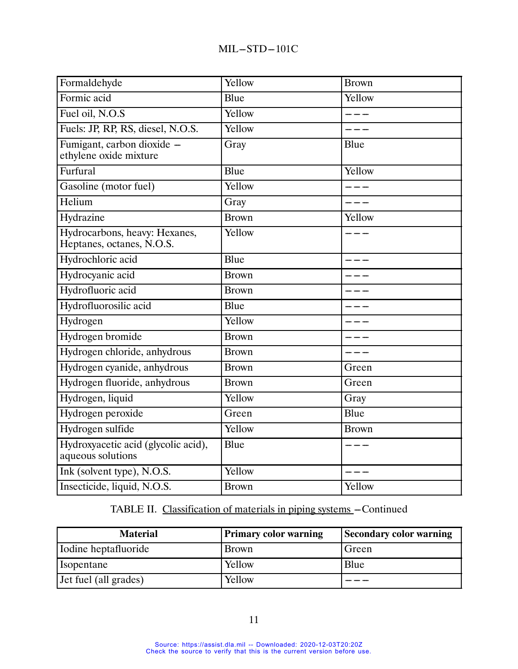| Formaldehyde                                               | Yellow       | <b>Brown</b> |
|------------------------------------------------------------|--------------|--------------|
| Formic acid                                                | Blue         | Yellow       |
| Fuel oil, N.O.S                                            | Yellow       |              |
| Fuels: JP, RP, RS, diesel, N.O.S.                          | Yellow       |              |
| Fumigant, carbon dioxide -<br>ethylene oxide mixture       | Gray         | Blue         |
| Furfural                                                   | Blue         | Yellow       |
| Gasoline (motor fuel)                                      | Yellow       |              |
| Helium                                                     | Gray         |              |
| Hydrazine                                                  | <b>Brown</b> | Yellow       |
| Hydrocarbons, heavy: Hexanes,<br>Heptanes, octanes, N.O.S. | Yellow       |              |
| Hydrochloric acid                                          | Blue         |              |
| Hydrocyanic acid                                           | <b>Brown</b> |              |
| Hydrofluoric acid                                          | <b>Brown</b> |              |
| Hydrofluorosilic acid                                      | Blue         |              |
| Hydrogen                                                   | Yellow       |              |
| Hydrogen bromide                                           | <b>Brown</b> |              |
| Hydrogen chloride, anhydrous                               | <b>Brown</b> | $- - -$      |
| Hydrogen cyanide, anhydrous                                | <b>Brown</b> | Green        |
| Hydrogen fluoride, anhydrous                               | <b>Brown</b> | Green        |
| Hydrogen, liquid                                           | Yellow       | Gray         |
| Hydrogen peroxide                                          | Green        | Blue         |
| Hydrogen sulfide                                           | Yellow       | <b>Brown</b> |
| Hydroxyacetic acid (glycolic acid),<br>aqueous solutions   | Blue         |              |
| Ink (solvent type), N.O.S.                                 | Yellow       |              |
| Insecticide, liquid, N.O.S.                                | <b>Brown</b> | Yellow       |

| <b>Material</b>       | <b>Primary color warning</b> | <b>Secondary color warning</b> |
|-----------------------|------------------------------|--------------------------------|
| Iodine heptafluoride  | Brown                        | Green                          |
| Isopentane            | Yellow                       | Blue                           |
| Jet fuel (all grades) | Yellow                       |                                |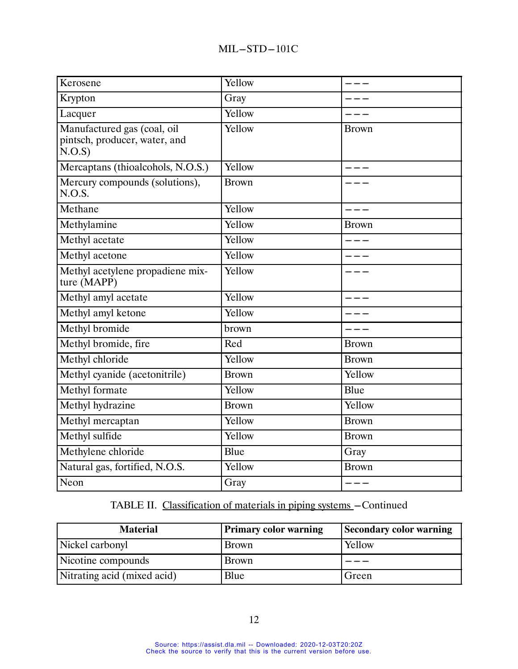| Kerosene                                                              | Yellow       | _ _ _        |
|-----------------------------------------------------------------------|--------------|--------------|
| Krypton                                                               | Gray         |              |
| Lacquer                                                               | Yellow       |              |
| Manufactured gas (coal, oil<br>pintsch, producer, water, and<br>N.O.S | Yellow       | <b>Brown</b> |
| Mercaptans (thioalcohols, N.O.S.)                                     | Yellow       |              |
| Mercury compounds (solutions),<br>N.O.S.                              | <b>Brown</b> |              |
| Methane                                                               | Yellow       |              |
| Methylamine                                                           | Yellow       | <b>Brown</b> |
| Methyl acetate                                                        | Yellow       |              |
| Methyl acetone                                                        | Yellow       |              |
| Methyl acetylene propadiene mix-<br>ture (MAPP)                       | Yellow       |              |
| Methyl amyl acetate                                                   | Yellow       |              |
| Methyl amyl ketone                                                    | Yellow       |              |
| Methyl bromide                                                        | brown        |              |
| Methyl bromide, fire                                                  | Red          | <b>Brown</b> |
| Methyl chloride                                                       | Yellow       | <b>Brown</b> |
| Methyl cyanide (acetonitrile)                                         | <b>Brown</b> | Yellow       |
| Methyl formate                                                        | Yellow       | Blue         |
| Methyl hydrazine                                                      | <b>Brown</b> | Yellow       |
| Methyl mercaptan                                                      | Yellow       | <b>Brown</b> |
| Methyl sulfide                                                        | Yellow       | <b>Brown</b> |
| Methylene chloride                                                    | Blue         | Gray         |
| Natural gas, fortified, N.O.S.                                        | Yellow       | <b>Brown</b> |
| Neon                                                                  | Gray         | ----         |

| <b>Material</b>             | <b>Primary color warning</b> | <b>Secondary color warning</b> |  |
|-----------------------------|------------------------------|--------------------------------|--|
| Nickel carbonyl             | Brown                        | Yellow                         |  |
| Nicotine compounds          | Brown                        |                                |  |
| Nitrating acid (mixed acid) | Blue                         | Green                          |  |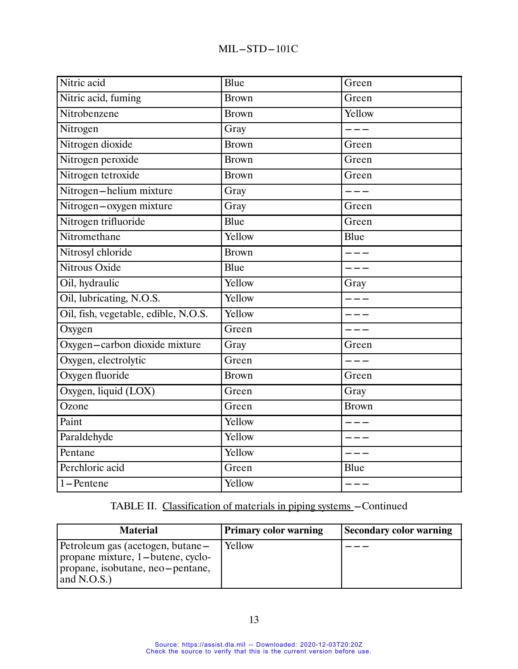| Nitric acid                          | Blue         | Green        |
|--------------------------------------|--------------|--------------|
| Nitric acid, fuming                  | <b>Brown</b> | Green        |
| Nitrobenzene                         | <b>Brown</b> | Yellow       |
| Nitrogen                             | Gray         | $- - -$      |
| Nitrogen dioxide                     | <b>Brown</b> | Green        |
| Nitrogen peroxide                    | <b>Brown</b> | Green        |
| Nitrogen tetroxide                   | <b>Brown</b> | Green        |
| Nitrogen-helium mixture              | Gray         |              |
| Nitrogen-oxygen mixture              | Gray         | Green        |
| Nitrogen trifluoride                 | Blue         | Green        |
| Nitromethane                         | Yellow       | Blue         |
| Nitrosyl chloride                    | <b>Brown</b> |              |
| Nitrous Oxide                        | Blue         |              |
| Oil, hydraulic                       | Yellow       | Gray         |
| Oil, lubricating, N.O.S.             | Yellow       | $  -$        |
| Oil, fish, vegetable, edible, N.O.S. | Yellow       |              |
| Oxygen                               | Green        |              |
| Oxygen-carbon dioxide mixture        | Gray         | Green        |
| Oxygen, electrolytic                 | Green        | ----         |
| Oxygen fluoride                      | <b>Brown</b> | Green        |
| Oxygen, liquid (LOX)                 | Green        | Gray         |
| Ozone                                | Green        | <b>Brown</b> |
| Paint                                | Yellow       |              |
| Paraldehyde                          | Yellow       |              |
| Pentane                              | Yellow       |              |
| Perchloric acid                      | Green        | Blue         |
| 1-Pentene                            | Yellow       | ----         |

| <b>Material</b>                                                                                                         | <b>Primary color warning</b> | <b>Secondary color warning</b> |
|-------------------------------------------------------------------------------------------------------------------------|------------------------------|--------------------------------|
| Petroleum gas (acetogen, butane-<br>propane mixture, 1-butene, cyclo-<br>propane, isobutane, neo-pentane,<br>and N.O.S. | Yellow                       |                                |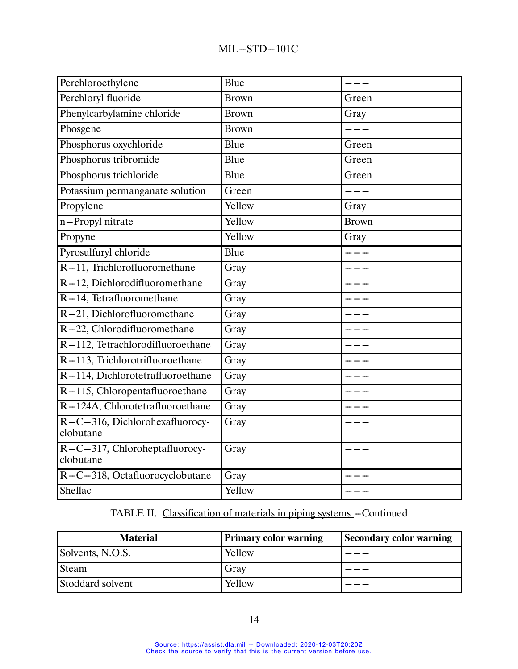| Perchloroethylene                           | Blue                |              |
|---------------------------------------------|---------------------|--------------|
| Perchloryl fluoride                         | <b>Brown</b>        | Green        |
| Phenylcarbylamine chloride                  | $\overline{B}$ rown | Gray         |
| Phosgene                                    | <b>Brown</b>        | $---$        |
| Phosphorus oxychloride                      | Blue                | Green        |
| Phosphorus tribromide                       | Blue                | Green        |
| Phosphorus trichloride                      | Blue                | Green        |
| Potassium permanganate solution             | Green               |              |
| Propylene                                   | Yellow              | Gray         |
| n-Propyl nitrate                            | Yellow              | <b>Brown</b> |
| Propyne                                     | Yellow              | Gray         |
| Pyrosulfuryl chloride                       | Blue                | $- - -$      |
| R-11, Trichlorofluoromethane                | Gray                |              |
| R-12, Dichlorodifluoromethane               | Gray                |              |
| R-14, Tetrafluoromethane                    | Gray                |              |
| R-21, Dichlorofluoromethane                 | Gray                |              |
| R-22, Chlorodifluoromethane                 | Gray                |              |
| R-112, Tetrachlorodifluoroethane            | Gray                |              |
| R-113, Trichlorotrifluoroethane             | Gray                |              |
| R-114, Dichlorotetrafluoroethane            | Gray                |              |
| R-115, Chloropentafluoroethane              | Gray                |              |
| R-124A, Chlorotetrafluoroethane             | Gray                |              |
| R-C-316, Dichlorohexafluorocy-<br>clobutane | Gray                |              |
| R-C-317, Chloroheptafluorocy-<br>clobutane  | Gray                |              |
| R-C-318, Octafluorocyclobutane              | Gray                |              |
| Shellac                                     | Yellow              |              |

| <b>Material</b>  | <b>Primary color warning</b> | <b>Secondary color warning</b> |
|------------------|------------------------------|--------------------------------|
| Solvents, N.O.S. | Yellow                       |                                |
| Steam            | Gray                         |                                |
| Stoddard solvent | Yellow                       |                                |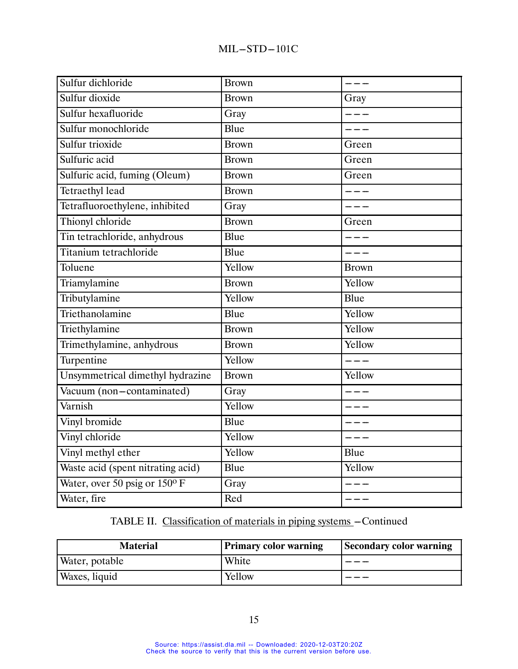| Sulfur dichloride                 | <b>Brown</b> | $- - -$      |
|-----------------------------------|--------------|--------------|
| Sulfur dioxide                    | <b>Brown</b> | Gray         |
| Sulfur hexafluoride               | Gray         |              |
| Sulfur monochloride               | Blue         | $- - -$      |
| Sulfur trioxide                   | <b>Brown</b> | Green        |
| Sulfuric acid                     | <b>Brown</b> | Green        |
| Sulfuric acid, fuming (Oleum)     | <b>Brown</b> | Green        |
| <b>Tetraethyl lead</b>            | <b>Brown</b> | ---          |
| Tetrafluoroethylene, inhibited    | Gray         | ----         |
| Thionyl chloride                  | <b>Brown</b> | Green        |
| Tin tetrachloride, anhydrous      | Blue         | ---          |
| Titanium tetrachloride            | Blue         | ----         |
| Toluene                           | Yellow       | <b>Brown</b> |
| Triamylamine                      | <b>Brown</b> | Yellow       |
| Tributylamine                     | Yellow       | Blue         |
| Triethanolamine                   | Blue         | Yellow       |
| Triethylamine                     | <b>Brown</b> | Yellow       |
| Trimethylamine, anhydrous         | <b>Brown</b> | Yellow       |
| Turpentine                        | Yellow       | $- - -$      |
| Unsymmetrical dimethyl hydrazine  | <b>Brown</b> | Yellow       |
| Vacuum (non-contaminated)         | Gray         |              |
| Varnish                           | Yellow       |              |
| Vinyl bromide                     | Blue         |              |
| Vinyl chloride                    | Yellow       |              |
| Vinyl methyl ether                | Yellow       | Blue         |
| Waste acid (spent nitrating acid) | Blue         | Yellow       |
| Water, over 50 psig or 150°F      | Gray         |              |
| Water, fire                       | Red          | ----         |

| <b>Material</b> | <b>Primary color warning</b> | <b>Secondary color warning</b> |  |
|-----------------|------------------------------|--------------------------------|--|
| Water, potable  | White                        |                                |  |
| Waxes, liquid   | Yellow                       |                                |  |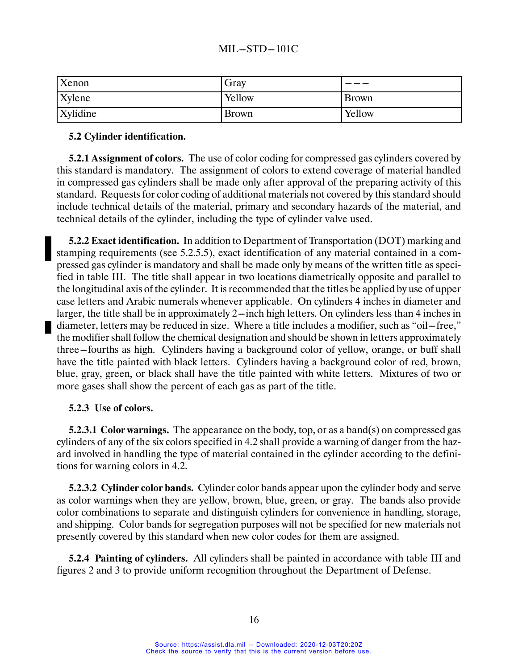| Xenon    | Gray         |              |
|----------|--------------|--------------|
| Xylene   | Yellow       | <b>Brown</b> |
| Xylidine | <b>Brown</b> | Yellow       |

### **5.2 Cylinder identification.**

**5.2.1 Assignment of colors.** The use of color coding for compressed gas cylinders covered by this standard is mandatory. The assignment of colors to extend coverage of material handled in compressed gas cylinders shall be made only after approval of the preparing activity of this standard. Requests for color coding of additional materials not covered by this standard should include technical details of the material, primary and secondary hazards of the material, and technical details of the cylinder, including the type of cylinder valve used.

**5.2.2 Exact identification.** In addition to Department of Transportation (DOT) marking and stamping requirements (see 5.2.5.5), exact identification of any material contained in a compressed gas cylinder is mandatory and shall be made only by means of the written title as specified in table III. The title shall appear in two locations diametrically opposite and parallel to the longitudinal axis of the cylinder. It is recommended that the titles be applied by use of upper case letters and Arabic numerals whenever applicable. On cylinders 4 inches in diameter and larger, the title shall be in approximately 2—inch high letters. On cylinders less than 4 inches in diameter, letters may be reduced in size. Where a title includes a modifier, such as "oil-free," the modifier shall follow the chemical designation and should be shown in letters approximately three–fourths as high. Cylinders having a background color of yellow, orange, or buff shall have the title painted with black letters. Cylinders having a background color of red, brown, blue, gray, green, or black shall have the title painted with white letters. Mixtures of two or more gases shall show the percent of each gas as part of the title.

#### **5.2.3 Use of colors.**

**5.2.3.1 Color warnings.** The appearance on the body, top, or as a band(s) on compressed gas cylinders of any of the six colors specified in 4.2 shall provide a warning of danger from the hazard involved in handling the type of material contained in the cylinder according to the definitions for warning colors in 4.2.

**5.2.3.2 Cylinder color bands.** Cylinder color bands appear upon the cylinder body and serve as color warnings when they are yellow, brown, blue, green, or gray. The bands also provide color combinations to separate and distinguish cylinders for convenience in handling, storage, and shipping. Color bands for segregation purposes will not be specified for new materials not presently covered by this standard when new color codes for them are assigned.

**5.2.4 Painting of cylinders.** All cylinders shall be painted in accordance with table III and figures 2 and 3 to provide uniform recognition throughout the Department of Defense.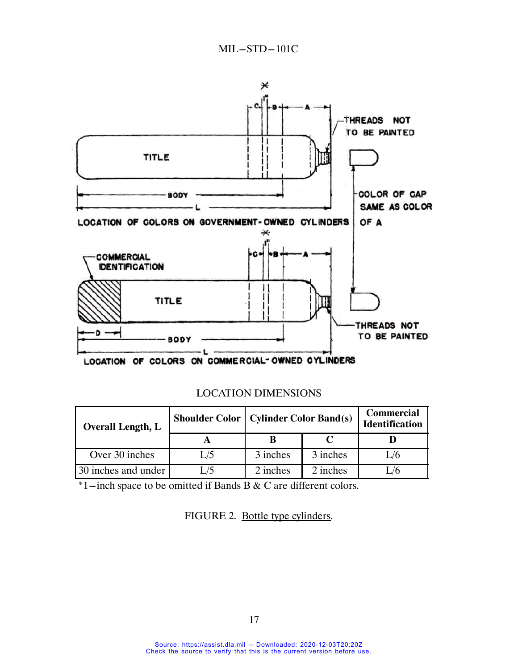

LOCATION OF COLORS ON COMMERCIAL-OWNED CYLINDERS

| <b>Overall Length, L</b> |     | <b>Shoulder Color   Cylinder Color Band(s)</b> |          | <b>Commercial</b><br><b>Identification</b> |
|--------------------------|-----|------------------------------------------------|----------|--------------------------------------------|
|                          |     |                                                |          |                                            |
| Over 30 inches           | L/5 | 3 inches                                       | 3 inches | 1/6                                        |
| 30 inches and under      | L/5 | 2 inches                                       | 2 inches |                                            |

LOCATION DIMENSIONS

 $*1$ -inch space to be omitted if Bands B & C are different colors.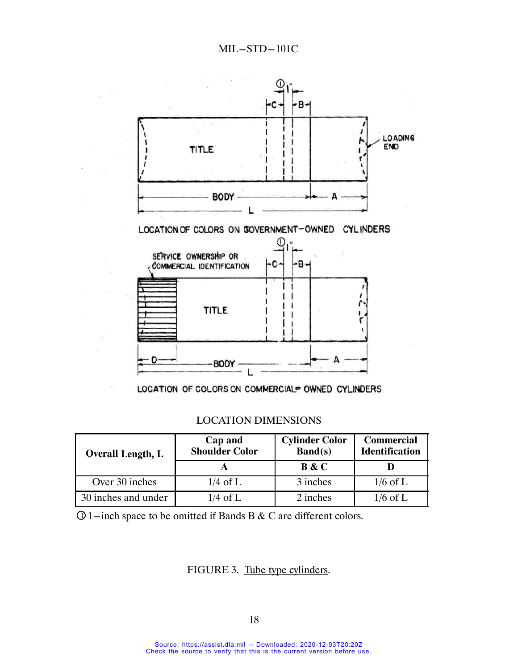

LOCATION OF COLORS ON COMMERCIAL® OWNED CYLINDERS

### LOCATION DIMENSIONS

| <b>Overall Length, L</b> | Cap and<br><b>Shoulder Color</b> | <b>Cylinder Color</b><br>$\mathbf{Band}(s)$ | <b>Commercial</b><br><b>Identification</b> |  |
|--------------------------|----------------------------------|---------------------------------------------|--------------------------------------------|--|
|                          |                                  | <b>B</b> & C                                |                                            |  |
| Over 30 inches           | $1/4$ of L                       | 3 inches                                    | $1/6$ of L                                 |  |
| 30 inches and under      | $1/4$ of L                       | 2 inches                                    | $1/6$ of L                                 |  |

 $\Omega$  1-inch space to be omitted if Bands B & C are different colors.

## FIGURE 3. Tube type cylinders.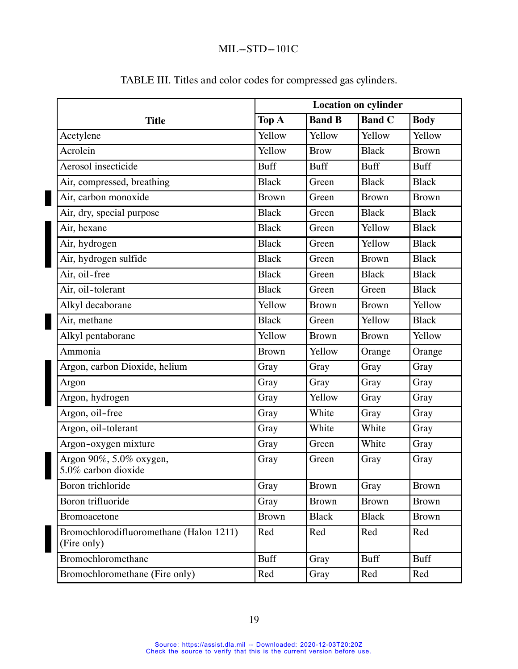|                                                        | <b>Location on cylinder</b> |               |               |              |
|--------------------------------------------------------|-----------------------------|---------------|---------------|--------------|
| <b>Title</b>                                           | Top A                       | <b>Band B</b> | <b>Band C</b> | <b>Body</b>  |
| Acetylene                                              | Yellow                      | Yellow        | Yellow        | Yellow       |
| Acrolein                                               | Yellow                      | <b>Brow</b>   | <b>Black</b>  | <b>Brown</b> |
| Aerosol insecticide                                    | <b>Buff</b>                 | <b>Buff</b>   | <b>Buff</b>   | <b>Buff</b>  |
| Air, compressed, breathing                             | <b>Black</b>                | Green         | <b>Black</b>  | <b>Black</b> |
| Air, carbon monoxide                                   | <b>Brown</b>                | Green         | <b>Brown</b>  | <b>Brown</b> |
| Air, dry, special purpose                              | <b>Black</b>                | Green         | <b>Black</b>  | <b>Black</b> |
| Air, hexane                                            | <b>Black</b>                | Green         | Yellow        | <b>Black</b> |
| Air, hydrogen                                          | <b>Black</b>                | Green         | Yellow        | <b>Black</b> |
| Air, hydrogen sulfide                                  | <b>Black</b>                | Green         | <b>Brown</b>  | <b>Black</b> |
| Air, oil-free                                          | <b>Black</b>                | Green         | <b>Black</b>  | <b>Black</b> |
| Air, oil-tolerant                                      | <b>Black</b>                | Green         | Green         | <b>Black</b> |
| Alkyl decaborane                                       | Yellow                      | <b>Brown</b>  | <b>Brown</b>  | Yellow       |
| Air, methane                                           | <b>Black</b>                | Green         | Yellow        | <b>Black</b> |
| Alkyl pentaborane                                      | Yellow                      | <b>Brown</b>  | <b>Brown</b>  | Yellow       |
| Ammonia                                                | <b>Brown</b>                | Yellow        | Orange        | Orange       |
| Argon, carbon Dioxide, helium                          | Gray                        | Gray          | Gray          | Gray         |
| Argon                                                  | Gray                        | Gray          | Gray          | Gray         |
| Argon, hydrogen                                        | Gray                        | Yellow        | Gray          | Gray         |
| Argon, oil-free                                        | Gray                        | White         | Gray          | Gray         |
| Argon, oil-tolerant                                    | Gray                        | White         | White         | Gray         |
| Argon-oxygen mixture                                   | Gray                        | Green         | White         | Gray         |
| Argon 90%, 5.0% oxygen,<br>5.0% carbon dioxide         | Gray                        | Green         | Gray          | Gray         |
| Boron trichloride                                      | Gray                        | <b>Brown</b>  | Gray          | <b>Brown</b> |
| Boron trifluoride                                      | Gray                        | <b>Brown</b>  | <b>Brown</b>  | <b>Brown</b> |
| Bromoacetone                                           | <b>Brown</b>                | <b>Black</b>  | <b>Black</b>  | <b>Brown</b> |
| Bromochlorodifluoromethane (Halon 1211)<br>(Fire only) | Red                         | Red           | Red           | Red          |
| Bromochloromethane                                     | <b>Buff</b>                 | Gray          | <b>Buff</b>   | <b>Buff</b>  |
| Bromochloromethane (Fire only)                         | Red                         | Gray          | Red           | Red          |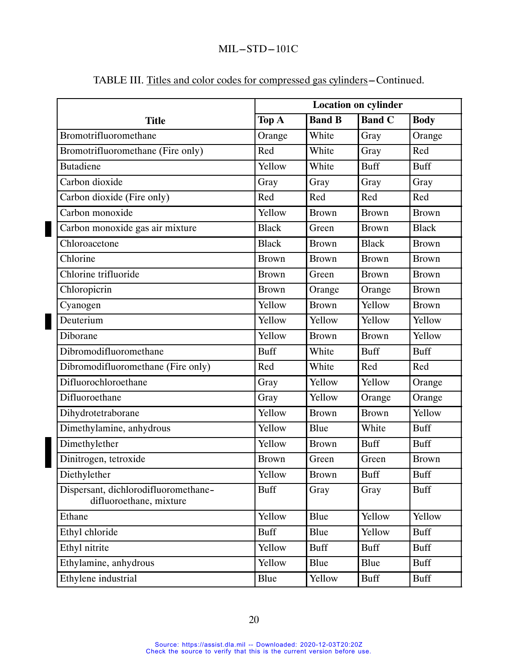|                                                                 |              | <b>Location on cylinder</b> |               |              |
|-----------------------------------------------------------------|--------------|-----------------------------|---------------|--------------|
| <b>Title</b>                                                    | Top A        | <b>Band B</b>               | <b>Band C</b> | <b>Body</b>  |
| Bromotrifluoromethane                                           | Orange       | White                       | Gray          | Orange       |
| Bromotrifluoromethane (Fire only)                               | Red          | White                       | Gray          | Red          |
| <b>Butadiene</b>                                                | Yellow       | White                       | <b>Buff</b>   | <b>Buff</b>  |
| Carbon dioxide                                                  | Gray         | Gray                        | Gray          | Gray         |
| Carbon dioxide (Fire only)                                      | Red          | Red                         | Red           | Red          |
| Carbon monoxide                                                 | Yellow       | <b>Brown</b>                | <b>Brown</b>  | <b>Brown</b> |
| Carbon monoxide gas air mixture                                 | <b>Black</b> | Green                       | <b>Brown</b>  | <b>Black</b> |
| Chloroacetone                                                   | <b>Black</b> | <b>Brown</b>                | <b>Black</b>  | <b>Brown</b> |
| Chlorine                                                        | <b>Brown</b> | <b>Brown</b>                | <b>Brown</b>  | <b>Brown</b> |
| Chlorine trifluoride                                            | <b>Brown</b> | Green                       | <b>Brown</b>  | <b>Brown</b> |
| Chloropicrin                                                    | <b>Brown</b> | Orange                      | Orange        | <b>Brown</b> |
| Cyanogen                                                        | Yellow       | <b>Brown</b>                | Yellow        | <b>Brown</b> |
| Deuterium                                                       | Yellow       | Yellow                      | Yellow        | Yellow       |
| Diborane                                                        | Yellow       | <b>Brown</b>                | <b>Brown</b>  | Yellow       |
| Dibromodifluoromethane                                          | <b>Buff</b>  | White                       | <b>Buff</b>   | <b>Buff</b>  |
| Dibromodifluoromethane (Fire only)                              | Red          | White                       | Red           | Red          |
| Difluorochloroethane                                            | Gray         | Yellow                      | Yellow        | Orange       |
| Difluoroethane                                                  | Gray         | Yellow                      | Orange        | Orange       |
| Dihydrotetraborane                                              | Yellow       | <b>Brown</b>                | <b>Brown</b>  | Yellow       |
| Dimethylamine, anhydrous                                        | Yellow       | Blue                        | White         | <b>Buff</b>  |
| Dimethylether                                                   | Yellow       | <b>Brown</b>                | <b>Buff</b>   | <b>Buff</b>  |
| Dinitrogen, tetroxide                                           | <b>Brown</b> | Green                       | Green         | <b>Brown</b> |
| Diethylether                                                    | Yellow       | <b>Brown</b>                | <b>Buff</b>   | <b>Buff</b>  |
| Dispersant, dichlorodifluoromethane-<br>difluoroethane, mixture | <b>Buff</b>  | Gray                        | Gray          | <b>Buff</b>  |
| Ethane                                                          | Yellow       | Blue                        | Yellow        | Yellow       |
| Ethyl chloride                                                  | <b>Buff</b>  | Blue                        | Yellow        | <b>Buff</b>  |
| Ethyl nitrite                                                   | Yellow       | <b>Buff</b>                 | <b>Buff</b>   | <b>Buff</b>  |
| Ethylamine, anhydrous                                           | Yellow       | Blue                        | Blue          | <b>Buff</b>  |
| Ethylene industrial                                             | Blue         | Yellow                      | <b>Buff</b>   | <b>Buff</b>  |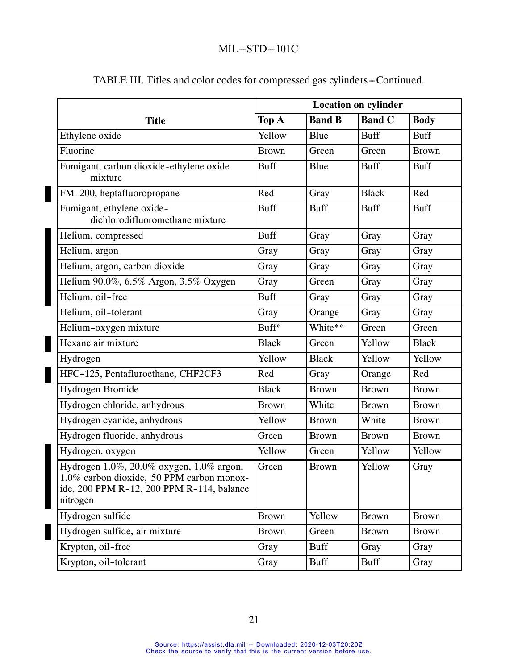|                                                                                                                                                | <b>Location on cylinder</b> |               |               |              |
|------------------------------------------------------------------------------------------------------------------------------------------------|-----------------------------|---------------|---------------|--------------|
| <b>Title</b>                                                                                                                                   | Top A                       | <b>Band B</b> | <b>Band C</b> | <b>Body</b>  |
| Ethylene oxide                                                                                                                                 | Yellow                      | Blue          | <b>Buff</b>   | <b>Buff</b>  |
| Fluorine                                                                                                                                       | <b>Brown</b>                | Green         | Green         | <b>Brown</b> |
| Fumigant, carbon dioxide-ethylene oxide<br>mixture                                                                                             | <b>Buff</b>                 | Blue          | <b>Buff</b>   | <b>Buff</b>  |
| FM-200, heptafluoropropane                                                                                                                     | Red                         | Gray          | <b>Black</b>  | Red          |
| Fumigant, ethylene oxide-<br>dichlorodifluoromethane mixture                                                                                   | <b>Buff</b>                 | <b>Buff</b>   | <b>Buff</b>   | <b>Buff</b>  |
| Helium, compressed                                                                                                                             | <b>Buff</b>                 | Gray          | Gray          | Gray         |
| Helium, argon                                                                                                                                  | Gray                        | Gray          | Gray          | Gray         |
| Helium, argon, carbon dioxide                                                                                                                  | Gray                        | Gray          | Gray          | Gray         |
| Helium 90.0%, 6.5% Argon, 3.5% Oxygen                                                                                                          | Gray                        | Green         | Gray          | Gray         |
| Helium, oil-free                                                                                                                               | <b>Buff</b>                 | Gray          | Gray          | Gray         |
| Helium, oil-tolerant                                                                                                                           | Gray                        | Orange        | Gray          | Gray         |
| Helium-oxygen mixture                                                                                                                          | Buff*                       | White**       | Green         | Green        |
| Hexane air mixture                                                                                                                             | <b>Black</b>                | Green         | Yellow        | <b>Black</b> |
| Hydrogen                                                                                                                                       | Yellow                      | <b>Black</b>  | Yellow        | Yellow       |
| HFC-125, Pentafluroethane, CHF2CF3                                                                                                             | Red                         | Gray          | Orange        | Red          |
| Hydrogen Bromide                                                                                                                               | <b>Black</b>                | <b>Brown</b>  | <b>Brown</b>  | <b>Brown</b> |
| Hydrogen chloride, anhydrous                                                                                                                   | <b>Brown</b>                | White         | <b>Brown</b>  | <b>Brown</b> |
| Hydrogen cyanide, anhydrous                                                                                                                    | Yellow                      | <b>Brown</b>  | White         | <b>Brown</b> |
| Hydrogen fluoride, anhydrous                                                                                                                   | Green                       | <b>Brown</b>  | <b>Brown</b>  | <b>Brown</b> |
| Hydrogen, oxygen                                                                                                                               | Yellow                      | Green         | Yellow        | Yellow       |
| Hydrogen 1.0%, 20.0% oxygen, 1.0% argon,<br>1.0% carbon dioxide, 50 PPM carbon monox-<br>ide, 200 PPM R-12, 200 PPM R-114, balance<br>nitrogen | Green                       | <b>Brown</b>  | Yellow        | Gray         |
| Hydrogen sulfide                                                                                                                               | <b>Brown</b>                | Yellow        | <b>Brown</b>  | <b>Brown</b> |
| Hydrogen sulfide, air mixture                                                                                                                  | <b>Brown</b>                | Green         | <b>Brown</b>  | <b>Brown</b> |
| Krypton, oil-free                                                                                                                              | Gray                        | <b>Buff</b>   | Gray          | Gray         |
| Krypton, oil-tolerant                                                                                                                          | Gray                        | <b>Buff</b>   | Buff          | Gray         |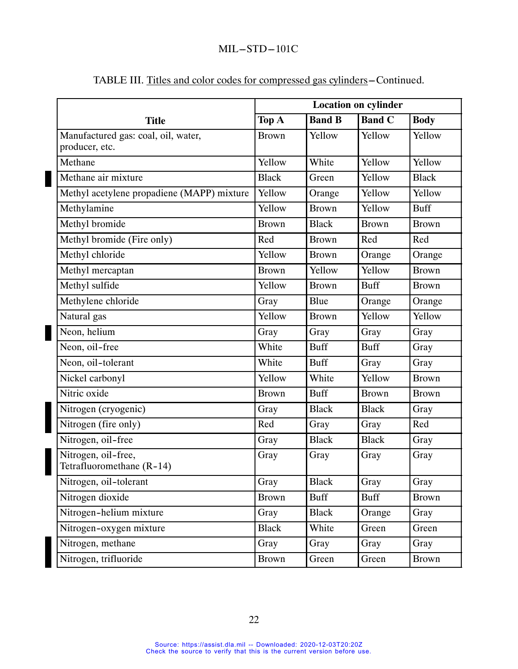|                                                       | <b>Location on cylinder</b> |               |               |              |
|-------------------------------------------------------|-----------------------------|---------------|---------------|--------------|
| <b>Title</b>                                          | Top A                       | <b>Band B</b> | <b>Band C</b> | <b>Body</b>  |
| Manufactured gas: coal, oil, water,<br>producer, etc. | <b>Brown</b>                | Yellow        | Yellow        | Yellow       |
| Methane                                               | Yellow                      | White         | Yellow        | Yellow       |
| Methane air mixture                                   | <b>Black</b>                | Green         | Yellow        | <b>Black</b> |
| Methyl acetylene propadiene (MAPP) mixture            | Yellow                      | Orange        | Yellow        | Yellow       |
| Methylamine                                           | Yellow                      | <b>Brown</b>  | Yellow        | <b>Buff</b>  |
| Methyl bromide                                        | <b>Brown</b>                | <b>Black</b>  | <b>Brown</b>  | <b>Brown</b> |
| Methyl bromide (Fire only)                            | Red                         | <b>Brown</b>  | Red           | Red          |
| Methyl chloride                                       | Yellow                      | <b>Brown</b>  | Orange        | Orange       |
| Methyl mercaptan                                      | <b>Brown</b>                | Yellow        | Yellow        | <b>Brown</b> |
| Methyl sulfide                                        | Yellow                      | <b>Brown</b>  | <b>Buff</b>   | <b>Brown</b> |
| Methylene chloride                                    | Gray                        | Blue          | Orange        | Orange       |
| Natural gas                                           | Yellow                      | <b>Brown</b>  | Yellow        | Yellow       |
| Neon, helium                                          | Gray                        | Gray          | Gray          | Gray         |
| Neon, oil-free                                        | White                       | <b>Buff</b>   | <b>Buff</b>   | Gray         |
| Neon, oil-tolerant                                    | White                       | <b>Buff</b>   | Gray          | Gray         |
| Nickel carbonyl                                       | Yellow                      | White         | Yellow        | <b>Brown</b> |
| Nitric oxide                                          | <b>Brown</b>                | <b>Buff</b>   | <b>Brown</b>  | <b>Brown</b> |
| Nitrogen (cryogenic)                                  | Gray                        | <b>Black</b>  | <b>Black</b>  | Gray         |
| Nitrogen (fire only)                                  | Red                         | Gray          | Gray          | Red          |
| Nitrogen, oil-free                                    | Gray                        | <b>Black</b>  | <b>Black</b>  | Gray         |
| Nitrogen, oil-free,<br>Tetrafluoromethane (R-14)      | Gray                        | Gray          | Gray          | Gray         |
| Nitrogen, oil-tolerant                                | Gray                        | <b>Black</b>  | Gray          | Gray         |
| Nitrogen dioxide                                      | <b>Brown</b>                | <b>Buff</b>   | <b>Buff</b>   | <b>Brown</b> |
| Nitrogen-helium mixture                               | Gray                        | <b>Black</b>  | Orange        | Gray         |
| Nitrogen-oxygen mixture                               | <b>Black</b>                | White         | Green         | Green        |
| Nitrogen, methane                                     | Gray                        | Gray          | Gray          | Gray         |
| Nitrogen, trifluoride                                 | <b>Brown</b>                | Green         | Green         | <b>Brown</b> |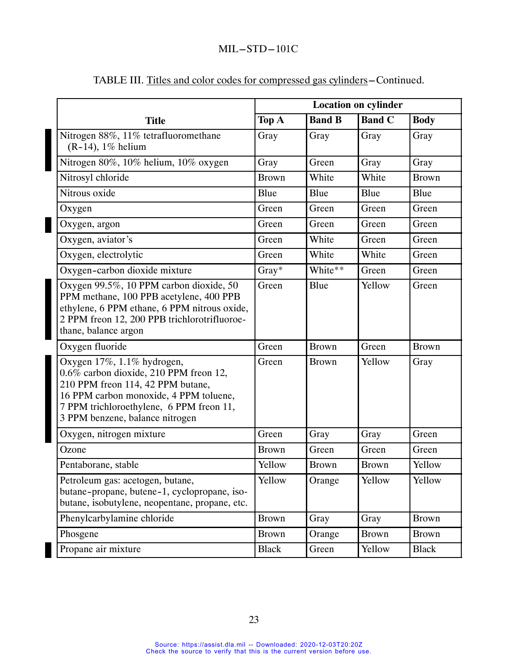|                                                                                                                                                                                                                                    | <b>Location on cylinder</b> |               |               |              |
|------------------------------------------------------------------------------------------------------------------------------------------------------------------------------------------------------------------------------------|-----------------------------|---------------|---------------|--------------|
| <b>Title</b>                                                                                                                                                                                                                       | Top A                       | <b>Band B</b> | <b>Band C</b> | <b>Body</b>  |
| Nitrogen 88%, 11% tetrafluoromethane<br>$(R-14)$ , 1% helium                                                                                                                                                                       | Gray                        | Gray          | Gray          | Gray         |
| Nitrogen 80%, 10% helium, 10% oxygen                                                                                                                                                                                               | Gray                        | Green         | Gray          | Gray         |
| Nitrosyl chloride                                                                                                                                                                                                                  | <b>Brown</b>                | White         | White         | <b>Brown</b> |
| Nitrous oxide                                                                                                                                                                                                                      | Blue                        | Blue          | Blue          | Blue         |
| Oxygen                                                                                                                                                                                                                             | Green                       | Green         | Green         | Green        |
| Oxygen, argon                                                                                                                                                                                                                      | Green                       | Green         | Green         | Green        |
| Oxygen, aviator's                                                                                                                                                                                                                  | Green                       | White         | Green         | Green        |
| Oxygen, electrolytic                                                                                                                                                                                                               | Green                       | White         | White         | Green        |
| Oxygen-carbon dioxide mixture                                                                                                                                                                                                      | Gray*                       | White**       | Green         | Green        |
| Oxygen 99.5%, 10 PPM carbon dioxide, 50<br>PPM methane, 100 PPB acetylene, 400 PPB<br>ethylene, 6 PPM ethane, 6 PPM nitrous oxide,<br>2 PPM freon 12, 200 PPB trichlorotrifluoroe-<br>thane, balance argon                         | Green                       | Blue          | Yellow        | Green        |
| Oxygen fluoride                                                                                                                                                                                                                    | Green                       | <b>Brown</b>  | Green         | <b>Brown</b> |
| Oxygen 17%, 1.1% hydrogen,<br>0.6% carbon dioxide, 210 PPM freon 12,<br>210 PPM freon 114, 42 PPM butane,<br>16 PPM carbon monoxide, 4 PPM toluene,<br>7 PPM trichloroethylene, 6 PPM freon 11,<br>3 PPM benzene, balance nitrogen | Green                       | <b>Brown</b>  | Yellow        | Gray         |
| Oxygen, nitrogen mixture                                                                                                                                                                                                           | Green                       | Gray          | Gray          | Green        |
| Ozone                                                                                                                                                                                                                              | <b>Brown</b>                | Green         | Green         | Green        |
| Pentaborane, stable                                                                                                                                                                                                                | Yellow                      | <b>Brown</b>  | <b>Brown</b>  | Yellow       |
| Petroleum gas: acetogen, butane,<br>butane-propane, butene-1, cyclopropane, iso-<br>butane, isobutylene, neopentane, propane, etc.                                                                                                 | Yellow                      | Orange        | Yellow        | Yellow       |
| Phenylcarbylamine chloride                                                                                                                                                                                                         | <b>Brown</b>                | Gray          | Gray          | <b>Brown</b> |
| Phosgene                                                                                                                                                                                                                           | <b>Brown</b>                | Orange        | <b>Brown</b>  | <b>Brown</b> |
| Propane air mixture                                                                                                                                                                                                                | <b>Black</b>                | Green         | Yellow        | <b>Black</b> |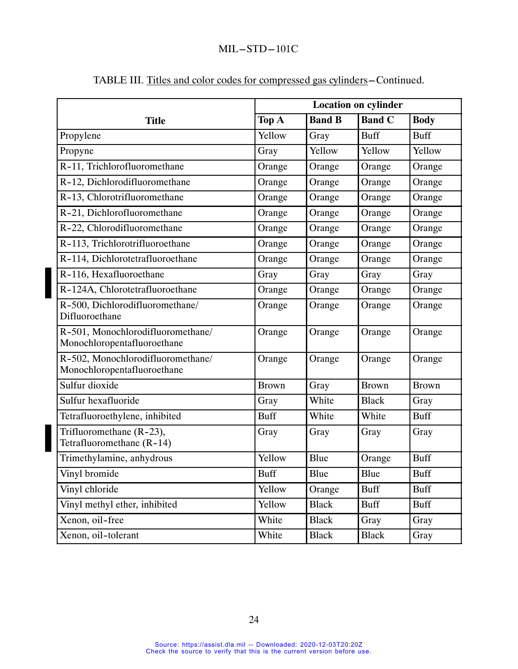|                                                                  | <b>Location on cylinder</b> |               |               |              |
|------------------------------------------------------------------|-----------------------------|---------------|---------------|--------------|
| <b>Title</b>                                                     | Top A                       | <b>Band B</b> | <b>Band C</b> | <b>Body</b>  |
| Propylene                                                        | Yellow                      | Gray          | <b>Buff</b>   | <b>Buff</b>  |
| Propyne                                                          | Gray                        | Yellow        | Yellow        | Yellow       |
| R-11, Trichlorofluoromethane                                     | Orange                      | Orange        | Orange        | Orange       |
| R-12, Dichlorodifluoromethane                                    | Orange                      | Orange        | Orange        | Orange       |
| R-13, Chlorotrifluoromethane                                     | Orange                      | Orange        | Orange        | Orange       |
| R-21, Dichlorofluoromethane                                      | Orange                      | Orange        | Orange        | Orange       |
| R-22, Chlorodifluoromethane                                      | Orange                      | Orange        | Orange        | Orange       |
| R-113, Trichlorotrifluoroethane                                  | Orange                      | Orange        | Orange        | Orange       |
| R-114, Dichlorotetrafluoroethane                                 | Orange                      | Orange        | Orange        | Orange       |
| R-116, Hexafluoroethane                                          | Gray                        | Gray          | Gray          | Gray         |
| R-124A, Chlorotetrafluoroethane                                  | Orange                      | Orange        | Orange        | Orange       |
| R-500, Dichlorodifluoromethane/<br>Difluoroethane                | Orange                      | Orange        | Orange        | Orange       |
| R-501, Monochlorodifluoromethane/<br>Monochloropentafluoroethane | Orange                      | Orange        | Orange        | Orange       |
| R-502, Monochlorodifluoromethane/<br>Monochloropentafluoroethane | Orange                      | Orange        | Orange        | Orange       |
| Sulfur dioxide                                                   | <b>Brown</b>                | Gray          | <b>Brown</b>  | <b>Brown</b> |
| Sulfur hexafluoride                                              | Gray                        | White         | <b>Black</b>  | Gray         |
| Tetrafluoroethylene, inhibited                                   | <b>Buff</b>                 | White         | White         | <b>Buff</b>  |
| Trifluoromethane (R-23),<br>Tetrafluoromethane (R-14)            | Gray                        | Gray          | Gray          | Gray         |
| Trimethylamine, anhydrous                                        | Yellow                      | Blue          | Orange        | <b>Buff</b>  |
| Vinyl bromide                                                    | <b>Buff</b>                 | Blue          | Blue          | <b>Buff</b>  |
| Vinyl chloride                                                   | Yellow                      | Orange        | <b>Buff</b>   | <b>Buff</b>  |
| Vinyl methyl ether, inhibited                                    | Yellow                      | <b>Black</b>  | <b>Buff</b>   | <b>Buff</b>  |
| Xenon, oil-free                                                  | White                       | <b>Black</b>  | Gray          | Gray         |
| Xenon, oil-tolerant                                              | White                       | <b>Black</b>  | <b>Black</b>  | Gray         |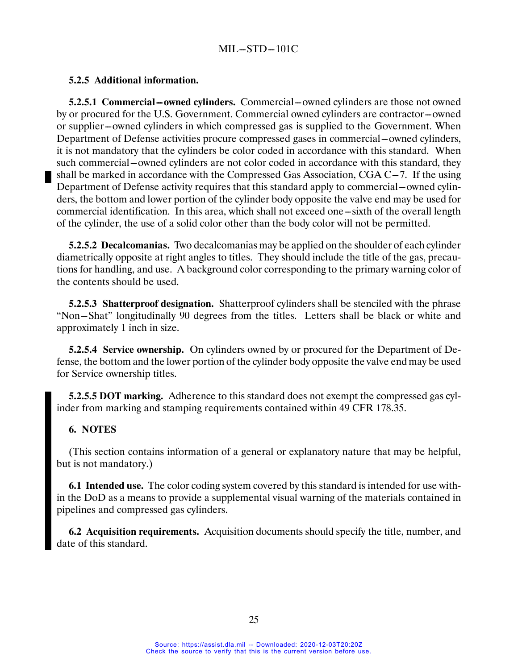### **5.2.5 Additional information.**

**5.2.5.1 Commercial ---owned cylinders.** Commercial ---owned cylinders are those not owned by or procured for the U.S. Government. Commercial owned cylinders are contractor-owned or supplier-owned cylinders in which compressed gas is supplied to the Government. When Department of Defense activities procure compressed gases in commercial – owned cylinders, it is not mandatory that the cylinders be color coded in accordance with this standard. When such commercial—owned cylinders are not color coded in accordance with this standard, they shall be marked in accordance with the Compressed Gas Association,  $CGA C-7$ . If the using Department of Defense activity requires that this standard apply to commercial—owned cylinders, the bottom and lower portion of the cylinder body opposite the valve end may be used for commercial identification. In this area, which shall not exceed one—sixth of the overall length of the cylinder, the use of a solid color other than the body color will not be permitted.

**5.2.5.2 Decalcomanias.** Two decalcomanias may be applied on the shoulder of each cylinder diametrically opposite at right angles to titles. They should include the title of the gas, precautions for handling, and use. A background color corresponding to the primary warning color of the contents should be used.

**5.2.5.3 Shatterproof designation.** Shatterproof cylinders shall be stenciled with the phrase "Non-Shat" longitudinally 90 degrees from the titles. Letters shall be black or white and approximately 1 inch in size.

**5.2.5.4 Service ownership.** On cylinders owned by or procured for the Department of Defense, the bottom and the lower portion of the cylinder body opposite the valve end may be used for Service ownership titles.

**5.2.5.5 DOT marking.** Adherence to this standard does not exempt the compressed gas cylinder from marking and stamping requirements contained within 49 CFR 178.35.

### **6. NOTES**

(This section contains information of a general or explanatory nature that may be helpful, but is not mandatory.)

**6.1 Intended use.** The color coding system covered by this standard is intended for use within the DoD as a means to provide a supplemental visual warning of the materials contained in pipelines and compressed gas cylinders.

**6.2 Acquisition requirements.** Acquisition documents should specify the title, number, and date of this standard.